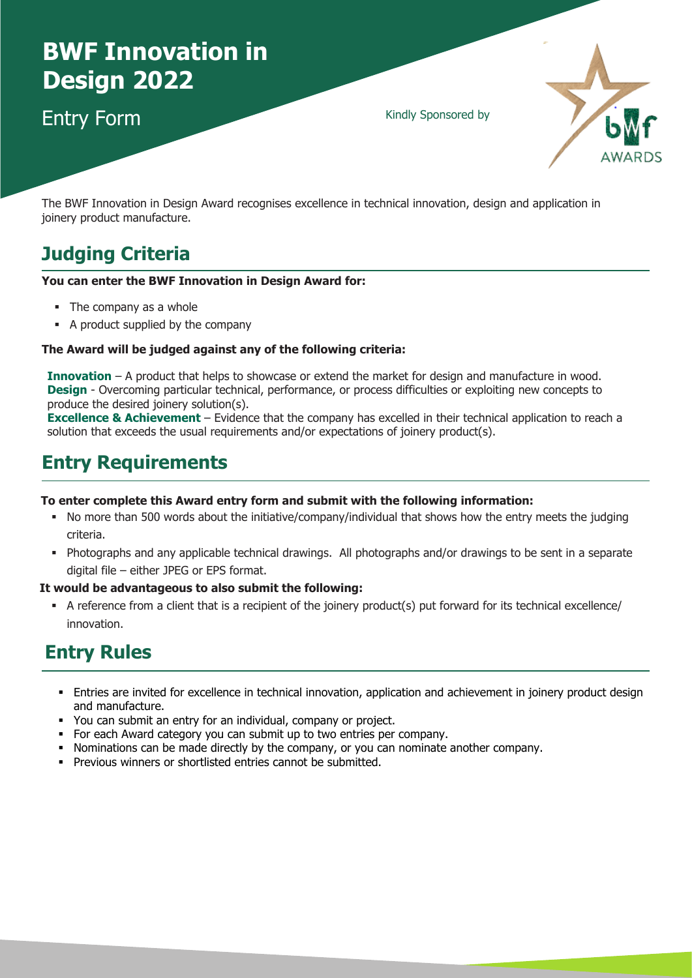# **BWF Innovation in Design 2022**

### Entry Form

Kindly Sponsored by



The BWF Innovation in Design Award recognises excellence in technical innovation, design and application in joinery product manufacture.

### **Judging Criteria**

#### **You can enter the BWF Innovation in Design Award for:**

- The company as a whole
- A product supplied by the company

#### **The Award will be judged against any of the following criteria:**

**Innovation** – A product that helps to showcase or extend the market for design and manufacture in wood. **Design** - Overcoming particular technical, performance, or process difficulties or exploiting new concepts to produce the desired joinery solution(s).

**Excellence & Achievement** – Evidence that the company has excelled in their technical application to reach a solution that exceeds the usual requirements and/or expectations of joinery product(s).

## **Entry Requirements**

#### **To enter complete this Award entry form and submit with the following information:**

- No more than 500 words about the initiative/company/individual that shows how the entry meets the judging criteria.
- Photographs and any applicable technical drawings. All photographs and/or drawings to be sent in a separate digital file – either JPEG or EPS format.

#### **It would be advantageous to also submit the following:**

 A reference from a client that is a recipient of the joinery product(s) put forward for its technical excellence/ innovation.

### **Entry Rules**

- Entries are invited for excellence in technical innovation, application and achievement in joinery product design and manufacture.
- You can submit an entry for an individual, company or project.
- For each Award category you can submit up to two entries per company.
- Nominations can be made directly by the company, or you can nominate another company.
- **Previous winners or shortlisted entries cannot be submitted.**